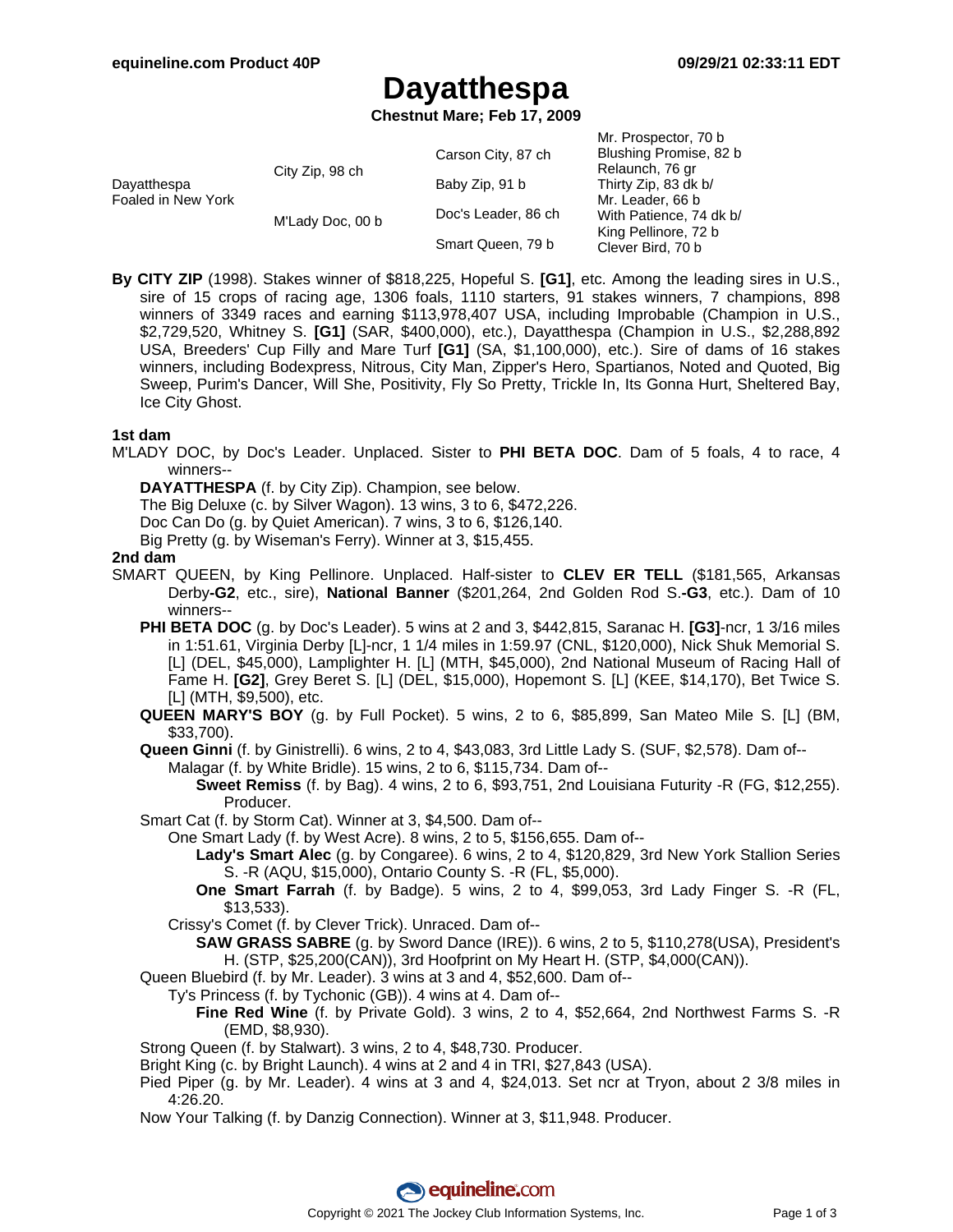# **Dayatthespa**

**Chestnut Mare; Feb 17, 2009**

| Dayatthespa<br>Foaled in New York | City Zip, 98 ch  | Carson City, 87 ch  | Mr. Prospector, 70 b<br>Blushing Promise, 82 b<br>Relaunch, 76 gr<br>Thirty Zip, 83 dk b/<br>Mr. Leader, 66 b<br>With Patience, 74 dk b/<br>King Pellinore, 72 b<br>Clever Bird, 70 b |
|-----------------------------------|------------------|---------------------|---------------------------------------------------------------------------------------------------------------------------------------------------------------------------------------|
|                                   |                  | Baby Zip, 91 b      |                                                                                                                                                                                       |
|                                   | M'Lady Doc, 00 b | Doc's Leader, 86 ch |                                                                                                                                                                                       |
|                                   |                  | Smart Queen, 79 b   |                                                                                                                                                                                       |

**By CITY ZIP** (1998). Stakes winner of \$818,225, Hopeful S. **[G1]**, etc. Among the leading sires in U.S., sire of 15 crops of racing age, 1306 foals, 1110 starters, 91 stakes winners, 7 champions, 898 winners of 3349 races and earning \$113,978,407 USA, including Improbable (Champion in U.S., \$2,729,520, Whitney S. **[G1]** (SAR, \$400,000), etc.), Dayatthespa (Champion in U.S., \$2,288,892 USA, Breeders' Cup Filly and Mare Turf **[G1]** (SA, \$1,100,000), etc.). Sire of dams of 16 stakes winners, including Bodexpress, Nitrous, City Man, Zipper's Hero, Spartianos, Noted and Quoted, Big Sweep, Purim's Dancer, Will She, Positivity, Fly So Pretty, Trickle In, Its Gonna Hurt, Sheltered Bay, Ice City Ghost.

#### **1st dam**

M'LADY DOC, by Doc's Leader. Unplaced. Sister to **PHI BETA DOC**. Dam of 5 foals, 4 to race, 4 winners--

**DAYATTHESPA** (f. by City Zip). Champion, see below.

The Big Deluxe (c. by Silver Wagon). 13 wins, 3 to 6, \$472,226.

Doc Can Do (g. by Quiet American). 7 wins, 3 to 6, \$126,140.

Big Pretty (g. by Wiseman's Ferry). Winner at 3, \$15,455.

#### **2nd dam**

- SMART QUEEN, by King Pellinore. Unplaced. Half-sister to **CLEV ER TELL** (\$181,565, Arkansas Derby**-G2**, etc., sire), **National Banner** (\$201,264, 2nd Golden Rod S.**-G3**, etc.). Dam of 10 winners--
	- **PHI BETA DOC** (g. by Doc's Leader). 5 wins at 2 and 3, \$442,815, Saranac H. **[G3]**-ncr, 1 3/16 miles in 1:51.61, Virginia Derby [L]-ncr, 1 1/4 miles in 1:59.97 (CNL, \$120,000), Nick Shuk Memorial S. [L] (DEL, \$45,000), Lamplighter H. [L] (MTH, \$45,000), 2nd National Museum of Racing Hall of Fame H. **[G2]**, Grey Beret S. [L] (DEL, \$15,000), Hopemont S. [L] (KEE, \$14,170), Bet Twice S. [L] (MTH, \$9,500), etc.
	- **QUEEN MARY'S BOY** (g. by Full Pocket). 5 wins, 2 to 6, \$85,899, San Mateo Mile S. [L] (BM, \$33,700).

**Queen Ginni** (f. by Ginistrelli). 6 wins, 2 to 4, \$43,083, 3rd Little Lady S. (SUF, \$2,578). Dam of--

Malagar (f. by White Bridle). 15 wins, 2 to 6, \$115,734. Dam of--

**Sweet Remiss** (f. by Bag). 4 wins, 2 to 6, \$93,751, 2nd Louisiana Futurity -R (FG, \$12,255). Producer.

Smart Cat (f. by Storm Cat). Winner at 3, \$4,500. Dam of--

One Smart Lady (f. by West Acre). 8 wins, 2 to 5, \$156,655. Dam of--

- **Lady's Smart Alec** (g. by Congaree). 6 wins, 2 to 4, \$120,829, 3rd New York Stallion Series S. -R (AQU, \$15,000), Ontario County S. -R (FL, \$5,000).
- **One Smart Farrah** (f. by Badge). 5 wins, 2 to 4, \$99,053, 3rd Lady Finger S. -R (FL, \$13,533).
- Crissy's Comet (f. by Clever Trick). Unraced. Dam of--
	- **SAW GRASS SABRE** (g. by Sword Dance (IRE)). 6 wins, 2 to 5, \$110,278(USA), President's H. (STP, \$25,200(CAN)), 3rd Hoofprint on My Heart H. (STP, \$4,000(CAN)).

Queen Bluebird (f. by Mr. Leader). 3 wins at 3 and 4, \$52,600. Dam of--

Ty's Princess (f. by Tychonic (GB)). 4 wins at 4. Dam of--

**Fine Red Wine** (f. by Private Gold). 3 wins, 2 to 4, \$52,664, 2nd Northwest Farms S. -R (EMD, \$8,930).

Strong Queen (f. by Stalwart). 3 wins, 2 to 4, \$48,730. Producer.

Bright King (c. by Bright Launch). 4 wins at 2 and 4 in TRI, \$27,843 (USA).

- Pied Piper (g. by Mr. Leader). 4 wins at 3 and 4, \$24,013. Set ncr at Tryon, about 2 3/8 miles in 4:26.20.
- Now Your Talking (f. by Danzig Connection). Winner at 3, \$11,948. Producer.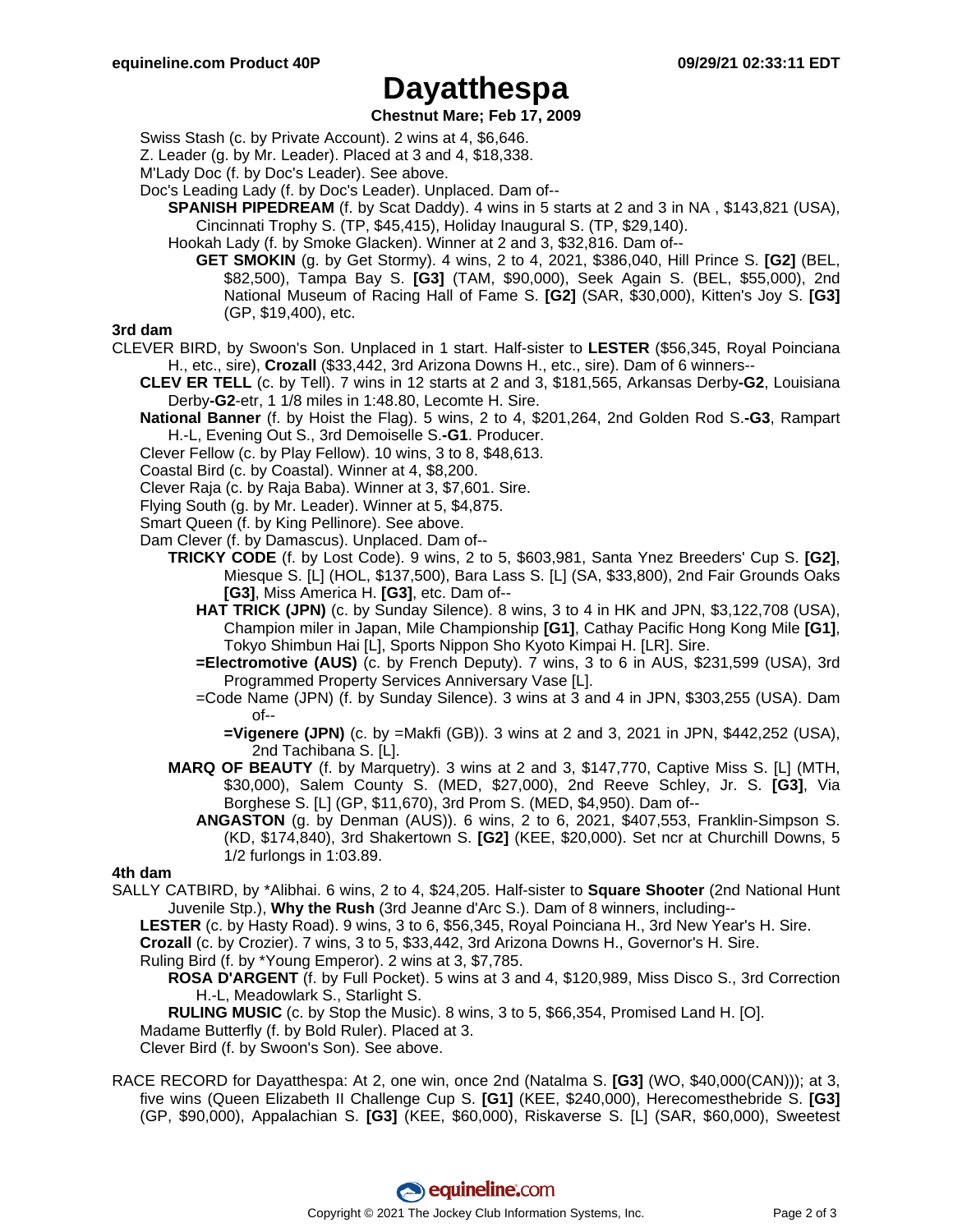## **Dayatthespa**

#### **Chestnut Mare; Feb 17, 2009**

Swiss Stash (c. by Private Account). 2 wins at 4, \$6,646.

Z. Leader (g. by Mr. Leader). Placed at 3 and 4, \$18,338.

M'Lady Doc (f. by Doc's Leader). See above.

Doc's Leading Lady (f. by Doc's Leader). Unplaced. Dam of--

**SPANISH PIPEDREAM** (f. by Scat Daddy). 4 wins in 5 starts at 2 and 3 in NA , \$143,821 (USA), Cincinnati Trophy S. (TP, \$45,415), Holiday Inaugural S. (TP, \$29,140).

Hookah Lady (f. by Smoke Glacken). Winner at 2 and 3, \$32,816. Dam of--

**GET SMOKIN** (g. by Get Stormy). 4 wins, 2 to 4, 2021, \$386,040, Hill Prince S. **[G2]** (BEL, \$82,500), Tampa Bay S. **[G3]** (TAM, \$90,000), Seek Again S. (BEL, \$55,000), 2nd National Museum of Racing Hall of Fame S. **[G2]** (SAR, \$30,000), Kitten's Joy S. **[G3]** (GP, \$19,400), etc.

#### **3rd dam**

- CLEVER BIRD, by Swoon's Son. Unplaced in 1 start. Half-sister to **LESTER** (\$56,345, Royal Poinciana H., etc., sire), **Crozall** (\$33,442, 3rd Arizona Downs H., etc., sire). Dam of 6 winners--
	- **CLEV ER TELL** (c. by Tell). 7 wins in 12 starts at 2 and 3, \$181,565, Arkansas Derby**-G2**, Louisiana Derby**-G2**-etr, 1 1/8 miles in 1:48.80, Lecomte H. Sire.
	- **National Banner** (f. by Hoist the Flag). 5 wins, 2 to 4, \$201,264, 2nd Golden Rod S.**-G3**, Rampart H.-L, Evening Out S., 3rd Demoiselle S.**-G1**. Producer.
	- Clever Fellow (c. by Play Fellow). 10 wins, 3 to 8, \$48,613.
	- Coastal Bird (c. by Coastal). Winner at 4, \$8,200.
	- Clever Raja (c. by Raja Baba). Winner at 3, \$7,601. Sire.
	- Flying South (g. by Mr. Leader). Winner at 5, \$4,875.
	- Smart Queen (f. by King Pellinore). See above.

Dam Clever (f. by Damascus). Unplaced. Dam of--

- **TRICKY CODE** (f. by Lost Code). 9 wins, 2 to 5, \$603,981, Santa Ynez Breeders' Cup S. **[G2]**, Miesque S. [L] (HOL, \$137,500), Bara Lass S. [L] (SA, \$33,800), 2nd Fair Grounds Oaks **[G3]**, Miss America H. **[G3]**, etc. Dam of--
	- **HAT TRICK (JPN)** (c. by Sunday Silence). 8 wins, 3 to 4 in HK and JPN, \$3,122,708 (USA), Champion miler in Japan, Mile Championship **[G1]**, Cathay Pacific Hong Kong Mile **[G1]**, Tokyo Shimbun Hai [L], Sports Nippon Sho Kyoto Kimpai H. [LR]. Sire.
	- **=Electromotive (AUS)** (c. by French Deputy). 7 wins, 3 to 6 in AUS, \$231,599 (USA), 3rd Programmed Property Services Anniversary Vase [L].
	- =Code Name (JPN) (f. by Sunday Silence). 3 wins at 3 and 4 in JPN, \$303,255 (USA). Dam  $of --$

**=Vigenere (JPN)** (c. by =Makfi (GB)). 3 wins at 2 and 3, 2021 in JPN, \$442,252 (USA), 2nd Tachibana S. [L].

- **MARQ OF BEAUTY** (f. by Marquetry). 3 wins at 2 and 3, \$147,770, Captive Miss S. [L] (MTH, \$30,000), Salem County S. (MED, \$27,000), 2nd Reeve Schley, Jr. S. **[G3]**, Via Borghese S. [L] (GP, \$11,670), 3rd Prom S. (MED, \$4,950). Dam of--
	- **ANGASTON** (g. by Denman (AUS)). 6 wins, 2 to 6, 2021, \$407,553, Franklin-Simpson S. (KD, \$174,840), 3rd Shakertown S. **[G2]** (KEE, \$20,000). Set ncr at Churchill Downs, 5 1/2 furlongs in 1:03.89.

### **4th dam**

SALLY CATBIRD, by \*Alibhai. 6 wins, 2 to 4, \$24,205. Half-sister to **Square Shooter** (2nd National Hunt Juvenile Stp.), **Why the Rush** (3rd Jeanne d'Arc S.). Dam of 8 winners, including--

**LESTER** (c. by Hasty Road). 9 wins, 3 to 6, \$56,345, Royal Poinciana H., 3rd New Year's H. Sire.

**Crozall** (c. by Crozier). 7 wins, 3 to 5, \$33,442, 3rd Arizona Downs H., Governor's H. Sire.

Ruling Bird (f. by \*Young Emperor). 2 wins at 3, \$7,785.

**ROSA D'ARGENT** (f. by Full Pocket). 5 wins at 3 and 4, \$120,989, Miss Disco S., 3rd Correction H.-L, Meadowlark S., Starlight S.

**RULING MUSIC** (c. by Stop the Music). 8 wins, 3 to 5, \$66,354, Promised Land H. [O]. Madame Butterfly (f. by Bold Ruler). Placed at 3.

Clever Bird (f. by Swoon's Son). See above.

RACE RECORD for Dayatthespa: At 2, one win, once 2nd (Natalma S. **[G3]** (WO, \$40,000(CAN))); at 3, five wins (Queen Elizabeth II Challenge Cup S. **[G1]** (KEE, \$240,000), Herecomesthebride S. **[G3]** (GP, \$90,000), Appalachian S. **[G3]** (KEE, \$60,000), Riskaverse S. [L] (SAR, \$60,000), Sweetest